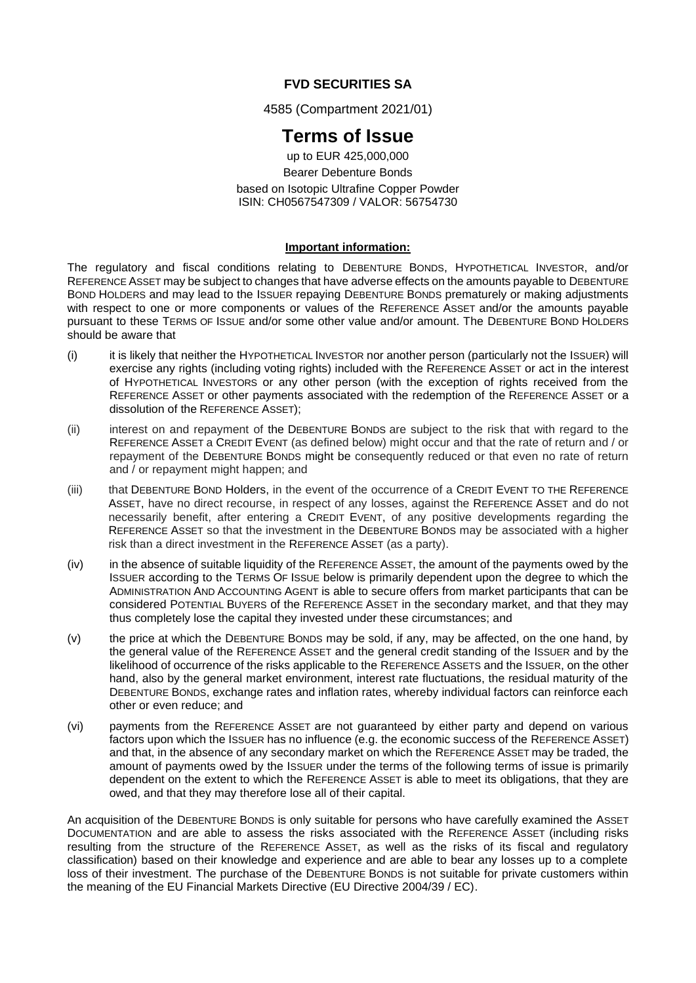# **FVD SECURITIES SA**

4585 (Compartment 2021/01)

# **Terms of Issue**

up to EUR 425,000,000 Bearer Debenture Bonds based on Isotopic Ultrafine Copper Powder ISIN: CH0567547309 / VALOR: 56754730

#### **Important information:**

The regulatory and fiscal conditions relating to DEBENTURE BONDS, HYPOTHETICAL INVESTOR, and/or REFERENCE ASSET may be subject to changes that have adverse effects on the amounts payable to DEBENTURE BOND HOLDERS and may lead to the ISSUER repaying DEBENTURE BONDS prematurely or making adjustments with respect to one or more components or values of the REFERENCE ASSET and/or the amounts payable pursuant to these TERMS OF ISSUE and/or some other value and/or amount. The DEBENTURE BOND HOLDERS should be aware that

- (i) it is likely that neither the HYPOTHETICAL INVESTOR nor another person (particularly not the ISSUER) will exercise any rights (including voting rights) included with the REFERENCE ASSET or act in the interest of HYPOTHETICAL INVESTORS or any other person (with the exception of rights received from the REFERENCE ASSET or other payments associated with the redemption of the REFERENCE ASSET or a dissolution of the REFERENCE ASSET);
- (ii) interest on and repayment of the DEBENTURE BONDS are subject to the risk that with regard to the REFERENCE ASSET a CREDIT EVENT (as defined below) might occur and that the rate of return and / or repayment of the DEBENTURE BONDS might be consequently reduced or that even no rate of return and / or repayment might happen; and
- (iii) that DEBENTURE BOND Holders, in the event of the occurrence of a CREDIT EVENT TO THE REFERENCE ASSET, have no direct recourse, in respect of any losses, against the REFERENCE ASSET and do not necessarily benefit, after entering a CREDIT EVENT, of any positive developments regarding the REFERENCE ASSET so that the investment in the DEBENTURE BONDS may be associated with a higher risk than a direct investment in the REFERENCE ASSET (as a party).
- (iv) in the absence of suitable liquidity of the REFERENCE ASSET, the amount of the payments owed by the ISSUER according to the TERMS OF ISSUE below is primarily dependent upon the degree to which the ADMINISTRATION AND ACCOUNTING AGENT is able to secure offers from market participants that can be considered POTENTIAL BUYERS of the REFERENCE ASSET in the secondary market, and that they may thus completely lose the capital they invested under these circumstances; and
- (v) the price at which the DEBENTURE BONDS may be sold, if any, may be affected, on the one hand, by the general value of the REFERENCE ASSET and the general credit standing of the ISSUER and by the likelihood of occurrence of the risks applicable to the REFERENCE ASSETS and the ISSUER, on the other hand, also by the general market environment, interest rate fluctuations, the residual maturity of the DEBENTURE BONDS, exchange rates and inflation rates, whereby individual factors can reinforce each other or even reduce; and
- (vi) payments from the REFERENCE ASSET are not guaranteed by either party and depend on various factors upon which the ISSUER has no influence (e.g. the economic success of the REFERENCE ASSET) and that, in the absence of any secondary market on which the REFERENCE ASSET may be traded, the amount of payments owed by the ISSUER under the terms of the following terms of issue is primarily dependent on the extent to which the REFERENCE ASSET is able to meet its obligations, that they are owed, and that they may therefore lose all of their capital.

An acquisition of the DEBENTURE BONDS is only suitable for persons who have carefully examined the ASSET DOCUMENTATION and are able to assess the risks associated with the REFERENCE ASSET (including risks resulting from the structure of the REFERENCE ASSET, as well as the risks of its fiscal and regulatory classification) based on their knowledge and experience and are able to bear any losses up to a complete loss of their investment. The purchase of the DEBENTURE BONDS is not suitable for private customers within the meaning of the EU Financial Markets Directive (EU Directive 2004/39 / EC).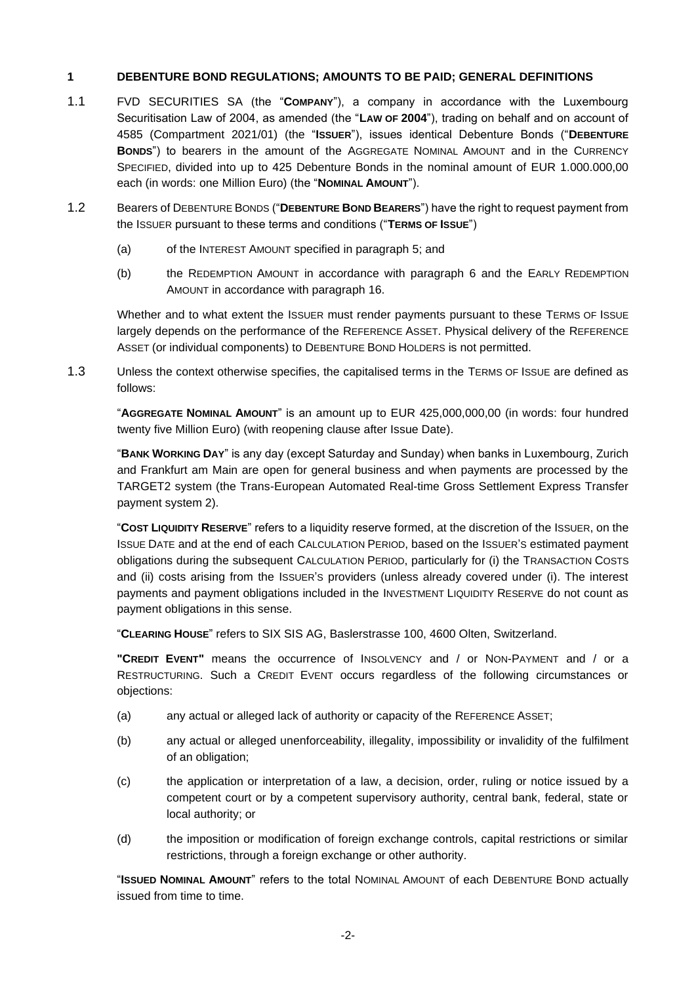#### **1 DEBENTURE BOND REGULATIONS; AMOUNTS TO BE PAID; GENERAL DEFINITIONS**

- 1.1 FVD SECURITIES SA (the "**COMPANY**"), a company in accordance with the Luxembourg Securitisation Law of 2004, as amended (the "**LAW OF 2004**"), trading on behalf and on account of 4585 (Compartment 2021/01) (the "**ISSUER**"), issues identical Debenture Bonds ("**DEBENTURE BONDS**") to bearers in the amount of the AGGREGATE NOMINAL AMOUNT and in the CURRENCY SPECIFIED, divided into up to 425 Debenture Bonds in the nominal amount of EUR 1.000.000,00 each (in words: one Million Euro) (the "**NOMINAL AMOUNT**").
- <span id="page-1-0"></span>1.2 Bearers of DEBENTURE BONDS ("**DEBENTURE BOND BEARERS**") have the right to request payment from the ISSUER pursuant to these terms and conditions ("**TERMS OF ISSUE**")
	- (a) of the INTEREST AMOUNT specified in paragraph [5;](#page-5-0) and
	- (b) the REDEMPTION AMOUNT in accordance with paragraph [6](#page-6-0) and the EARLY REDEMPTION AMOUNT in accordance with paragraph [16.](#page-12-0)

Whether and to what extent the ISSUER must render payments pursuant to these TERMS OF ISSUE largely depends on the performance of the REFERENCE ASSET. Physical delivery of the REFERENCE ASSET (or individual components) to DEBENTURE BOND HOLDERS is not permitted.

1.3 Unless the context otherwise specifies, the capitalised terms in the TERMS OF ISSUE are defined as follows:

"**AGGREGATE NOMINAL AMOUNT**" is an amount up to EUR 425,000,000,00 (in words: four hundred twenty five Million Euro) (with reopening clause after Issue Date).

"**BANK WORKING DAY**" is any day (except Saturday and Sunday) when banks in Luxembourg, Zurich and Frankfurt am Main are open for general business and when payments are processed by the TARGET2 system (the Trans-European Automated Real-time Gross Settlement Express Transfer payment system 2).

"**COST LIQUIDITY RESERVE**" refers to a liquidity reserve formed, at the discretion of the ISSUER, on the ISSUE DATE and at the end of each CALCULATION PERIOD, based on the ISSUER'S estimated payment obligations during the subsequent CALCULATION PERIOD, particularly for (i) the TRANSACTION COSTS and (ii) costs arising from the ISSUER'S providers (unless already covered under (i). The interest payments and payment obligations included in the INVESTMENT LIQUIDITY RESERVE do not count as payment obligations in this sense.

"**CLEARING HOUSE**" refers to SIX SIS AG, Baslerstrasse 100, 4600 Olten, Switzerland.

**"CREDIT EVENT"** means the occurrence of INSOLVENCY and / or NON-PAYMENT and / or a RESTRUCTURING. Such a CREDIT EVENT occurs regardless of the following circumstances or objections:

- (a) any actual or alleged lack of authority or capacity of the REFERENCE ASSET;
- (b) any actual or alleged unenforceability, illegality, impossibility or invalidity of the fulfilment of an obligation;
- (c) the application or interpretation of a law, a decision, order, ruling or notice issued by a competent court or by a competent supervisory authority, central bank, federal, state or local authority; or
- (d) the imposition or modification of foreign exchange controls, capital restrictions or similar restrictions, through a foreign exchange or other authority.

"**ISSUED NOMINAL AMOUNT**" refers to the total NOMINAL AMOUNT of each DEBENTURE BOND actually issued from time to time.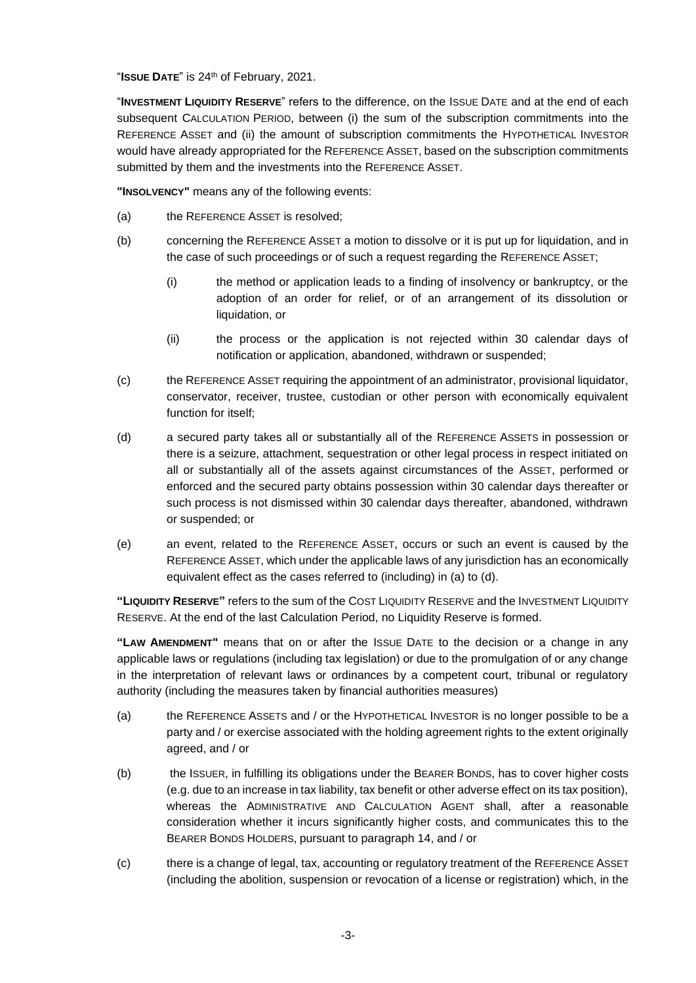"**ISSUE DATE**" is 24th of February, 2021.

"**INVESTMENT LIQUIDITY RESERVE**" refers to the difference, on the ISSUE DATE and at the end of each subsequent CALCULATION PERIOD, between (i) the sum of the subscription commitments into the REFERENCE ASSET and (ii) the amount of subscription commitments the HYPOTHETICAL INVESTOR would have already appropriated for the REFERENCE ASSET, based on the subscription commitments submitted by them and the investments into the REFERENCE ASSET.

**"INSOLVENCY"** means any of the following events:

- (a) the REFERENCE ASSET is resolved;
- (b) concerning the REFERENCE ASSET a motion to dissolve or it is put up for liquidation, and in the case of such proceedings or of such a request regarding the REFERENCE ASSET;
	- (i) the method or application leads to a finding of insolvency or bankruptcy, or the adoption of an order for relief, or of an arrangement of its dissolution or liquidation, or
	- (ii) the process or the application is not rejected within 30 calendar days of notification or application, abandoned, withdrawn or suspended;
- (c) the REFERENCE ASSET requiring the appointment of an administrator, provisional liquidator, conservator, receiver, trustee, custodian or other person with economically equivalent function for itself;
- (d) a secured party takes all or substantially all of the REFERENCE ASSETS in possession or there is a seizure, attachment, sequestration or other legal process in respect initiated on all or substantially all of the assets against circumstances of the ASSET, performed or enforced and the secured party obtains possession within 30 calendar days thereafter or such process is not dismissed within 30 calendar days thereafter, abandoned, withdrawn or suspended; or
- (e) an event, related to the REFERENCE ASSET, occurs or such an event is caused by the REFERENCE ASSET, which under the applicable laws of any jurisdiction has an economically equivalent effect as the cases referred to (including) in (a) to (d).

**"LIQUIDITY RESERVE"** refers to the sum of the COST LIQUIDITY RESERVE and the INVESTMENT LIQUIDITY RESERVE. At the end of the last Calculation Period, no Liquidity Reserve is formed.

**"LAW AMENDMENT"** means that on or after the ISSUE DATE to the decision or a change in any applicable laws or regulations (including tax legislation) or due to the promulgation of or any change in the interpretation of relevant laws or ordinances by a competent court, tribunal or regulatory authority (including the measures taken by financial authorities measures)

- (a) the REFERENCE ASSETS and / or the HYPOTHETICAL INVESTOR is no longer possible to be a party and / or exercise associated with the holding agreement rights to the extent originally agreed, and / or
- (b) the ISSUER, in fulfilling its obligations under the BEARER BONDS, has to cover higher costs (e.g. due to an increase in tax liability, tax benefit or other adverse effect on its tax position), whereas the ADMINISTRATIVE AND CALCULATION AGENT shall, after a reasonable consideration whether it incurs significantly higher costs, and communicates this to the BEARER BONDS HOLDERS, pursuant to paragraph 14, and / or
- (c) there is a change of legal, tax, accounting or regulatory treatment of the REFERENCE ASSET (including the abolition, suspension or revocation of a license or registration) which, in the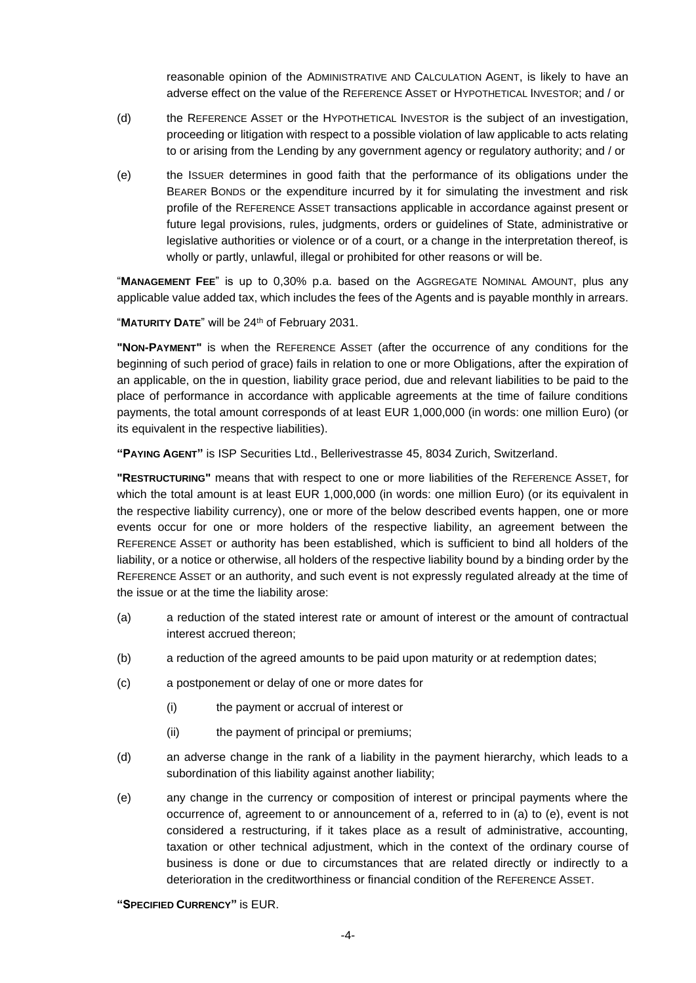reasonable opinion of the ADMINISTRATIVE AND CALCULATION AGENT, is likely to have an adverse effect on the value of the REFERENCE ASSET or HYPOTHETICAL INVESTOR; and / or

- (d) the REFERENCE ASSET or the HYPOTHETICAL INVESTOR is the subject of an investigation, proceeding or litigation with respect to a possible violation of law applicable to acts relating to or arising from the Lending by any government agency or regulatory authority; and / or
- (e) the ISSUER determines in good faith that the performance of its obligations under the BEARER BONDS or the expenditure incurred by it for simulating the investment and risk profile of the REFERENCE ASSET transactions applicable in accordance against present or future legal provisions, rules, judgments, orders or guidelines of State, administrative or legislative authorities or violence or of a court, or a change in the interpretation thereof, is wholly or partly, unlawful, illegal or prohibited for other reasons or will be.

"**MANAGEMENT FEE**" is up to 0,30% p.a. based on the AGGREGATE NOMINAL AMOUNT, plus any applicable value added tax, which includes the fees of the Agents and is payable monthly in arrears.

"**MATURITY DATE**" will be 24th of February 2031.

**"NON-PAYMENT"** is when the REFERENCE ASSET (after the occurrence of any conditions for the beginning of such period of grace) fails in relation to one or more Obligations, after the expiration of an applicable, on the in question, liability grace period, due and relevant liabilities to be paid to the place of performance in accordance with applicable agreements at the time of failure conditions payments, the total amount corresponds of at least EUR 1,000,000 (in words: one million Euro) (or its equivalent in the respective liabilities).

**"PAYING AGENT"** is ISP Securities Ltd., Bellerivestrasse 45, 8034 Zurich, Switzerland.

**"RESTRUCTURING"** means that with respect to one or more liabilities of the REFERENCE ASSET, for which the total amount is at least EUR 1,000,000 (in words: one million Euro) (or its equivalent in the respective liability currency), one or more of the below described events happen, one or more events occur for one or more holders of the respective liability, an agreement between the REFERENCE ASSET or authority has been established, which is sufficient to bind all holders of the liability, or a notice or otherwise, all holders of the respective liability bound by a binding order by the REFERENCE ASSET or an authority, and such event is not expressly regulated already at the time of the issue or at the time the liability arose:

- (a) a reduction of the stated interest rate or amount of interest or the amount of contractual interest accrued thereon;
- (b) a reduction of the agreed amounts to be paid upon maturity or at redemption dates;
- (c) a postponement or delay of one or more dates for
	- (i) the payment or accrual of interest or
	- (ii) the payment of principal or premiums;
- (d) an adverse change in the rank of a liability in the payment hierarchy, which leads to a subordination of this liability against another liability;
- (e) any change in the currency or composition of interest or principal payments where the occurrence of, agreement to or announcement of a, referred to in (a) to (e), event is not considered a restructuring, if it takes place as a result of administrative, accounting, taxation or other technical adjustment, which in the context of the ordinary course of business is done or due to circumstances that are related directly or indirectly to a deterioration in the creditworthiness or financial condition of the REFERENCE ASSET.

**"SPECIFIED CURRENCY"** is EUR.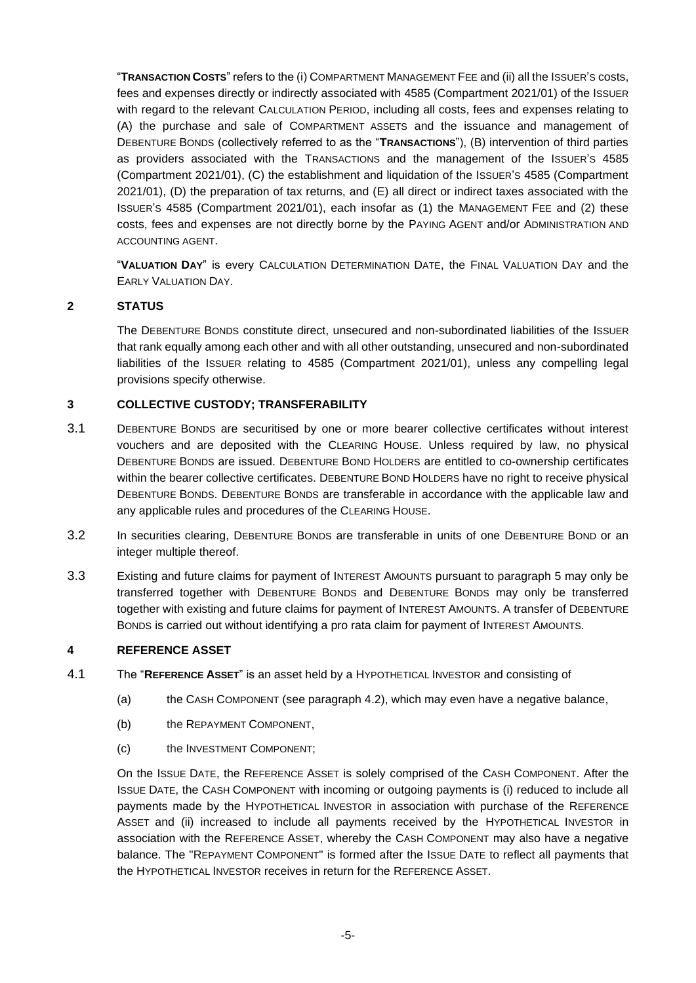"**TRANSACTION COSTS**" refers to the (i) COMPARTMENT MANAGEMENT FEE and (ii) all the ISSUER'S costs, fees and expenses directly or indirectly associated with 4585 (Compartment 2021/01) of the ISSUER with regard to the relevant CALCULATION PERIOD, including all costs, fees and expenses relating to (A) the purchase and sale of COMPARTMENT ASSETS and the issuance and management of DEBENTURE BONDS (collectively referred to as the "**TRANSACTIONS**"), (B) intervention of third parties as providers associated with the TRANSACTIONS and the management of the ISSUER'S 4585 (Compartment 2021/01), (C) the establishment and liquidation of the ISSUER'S 4585 (Compartment 2021/01), (D) the preparation of tax returns, and (E) all direct or indirect taxes associated with the ISSUER'S 4585 (Compartment 2021/01), each insofar as (1) the MANAGEMENT FEE and (2) these costs, fees and expenses are not directly borne by the PAYING AGENT and/or ADMINISTRATION AND ACCOUNTING AGENT.

"**VALUATION DAY**" is every CALCULATION DETERMINATION DATE, the FINAL VALUATION DAY and the EARLY VALUATION DAY.

## **2 STATUS**

The DEBENTURE BONDS constitute direct, unsecured and non-subordinated liabilities of the ISSUER that rank equally among each other and with all other outstanding, unsecured and non-subordinated liabilities of the ISSUER relating to 4585 (Compartment 2021/01), unless any compelling legal provisions specify otherwise.

## **3 COLLECTIVE CUSTODY; TRANSFERABILITY**

- 3.1 DEBENTURE BONDS are securitised by one or more bearer collective certificates without interest vouchers and are deposited with the CLEARING HOUSE. Unless required by law, no physical DEBENTURE BONDS are issued. DEBENTURE BOND HOLDERS are entitled to co-ownership certificates within the bearer collective certificates. DEBENTURE BOND HOLDERS have no right to receive physical DEBENTURE BONDS. DEBENTURE BONDS are transferable in accordance with the applicable law and any applicable rules and procedures of the CLEARING HOUSE.
- 3.2 In securities clearing, DEBENTURE BONDS are transferable in units of one DEBENTURE BOND or an integer multiple thereof.
- 3.3 Existing and future claims for payment of INTEREST AMOUNTS pursuant to paragraph [5](#page-5-0) may only be transferred together with DEBENTURE BONDS and DEBENTURE BONDS may only be transferred together with existing and future claims for payment of INTEREST AMOUNTS. A transfer of DEBENTURE BONDS is carried out without identifying a pro rata claim for payment of INTEREST AMOUNTS.

#### **4 REFERENCE ASSET**

- 4.1 The "**REFERENCE ASSET**" is an asset held by a HYPOTHETICAL INVESTOR and consisting of
	- (a) the CASH COMPONENT (see paragraph [4.2\)](#page-5-1), which may even have a negative balance,
	- (b) the REPAYMENT COMPONENT.
	- (c) the INVESTMENT COMPONENT;

On the ISSUE DATE, the REFERENCE ASSET is solely comprised of the CASH COMPONENT. After the ISSUE DATE, the CASH COMPONENT with incoming or outgoing payments is (i) reduced to include all payments made by the HYPOTHETICAL INVESTOR in association with purchase of the REFERENCE ASSET and (ii) increased to include all payments received by the HYPOTHETICAL INVESTOR in association with the REFERENCE ASSET, whereby the CASH COMPONENT may also have a negative balance. The "REPAYMENT COMPONENT" is formed after the ISSUE DATE to reflect all payments that the HYPOTHETICAL INVESTOR receives in return for the REFERENCE ASSET.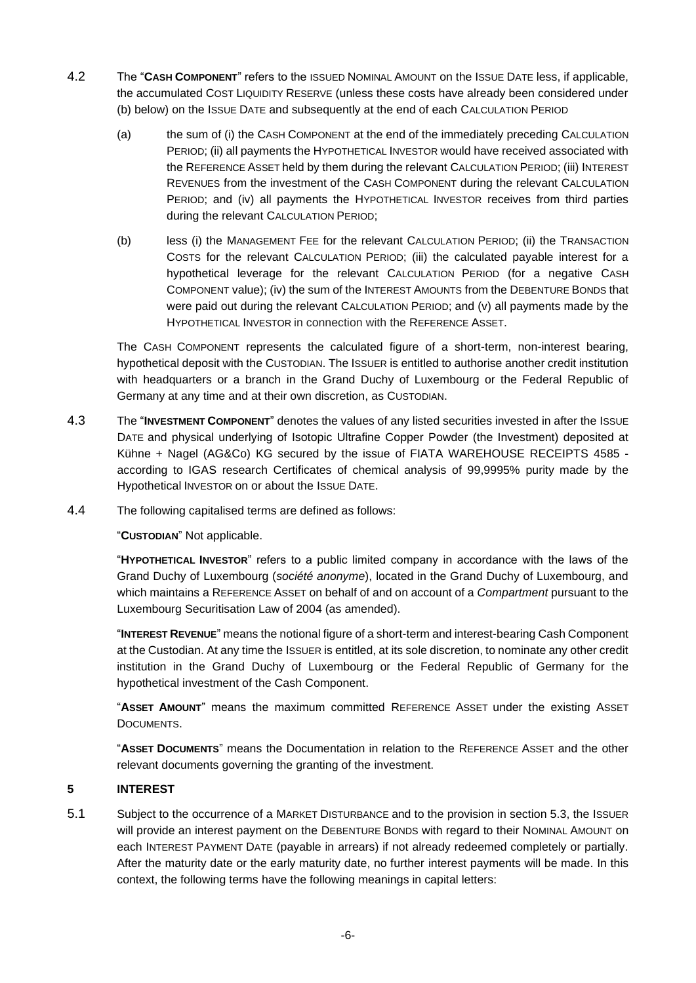- <span id="page-5-1"></span>4.2 The "**CASH COMPONENT**" refers to the ISSUED NOMINAL AMOUNT on the ISSUE DATE less, if applicable, the accumulated COST LIQUIDITY RESERVE (unless these costs have already been considered under (b) below) on the ISSUE DATE and subsequently at the end of each CALCULATION PERIOD
	- (a) the sum of (i) the CASH COMPONENT at the end of the immediately preceding CALCULATION PERIOD; (ii) all payments the HYPOTHETICAL INVESTOR would have received associated with the REFERENCE ASSET held by them during the relevant CALCULATION PERIOD; (iii) INTEREST REVENUES from the investment of the CASH COMPONENT during the relevant CALCULATION PERIOD; and (iv) all payments the HYPOTHETICAL INVESTOR receives from third parties during the relevant CALCULATION PERIOD;
	- (b) less (i) the MANAGEMENT FEE for the relevant CALCULATION PERIOD; (ii) the TRANSACTION COSTS for the relevant CALCULATION PERIOD; (iii) the calculated payable interest for a hypothetical leverage for the relevant CALCULATION PERIOD (for a negative CASH COMPONENT value); (iv) the sum of the INTEREST AMOUNTS from the DEBENTURE BONDS that were paid out during the relevant CALCULATION PERIOD; and (v) all payments made by the HYPOTHETICAL INVESTOR in connection with the REFERENCE ASSET.

The CASH COMPONENT represents the calculated figure of a short-term, non-interest bearing, hypothetical deposit with the CUSTODIAN. The ISSUER is entitled to authorise another credit institution with headquarters or a branch in the Grand Duchy of Luxembourg or the Federal Republic of Germany at any time and at their own discretion, as CUSTODIAN.

- 4.3 The "**INVESTMENT COMPONENT**" denotes the values of any listed securities invested in after the ISSUE DATE and physical underlying of Isotopic Ultrafine Copper Powder (the Investment) deposited at Kühne + Nagel (AG&Co) KG secured by the issue of FIATA WAREHOUSE RECEIPTS 4585 according to IGAS research Certificates of chemical analysis of 99,9995% purity made by the Hypothetical INVESTOR on or about the ISSUE DATE.
- 4.4 The following capitalised terms are defined as follows:

"**CUSTODIAN**" Not applicable.

"**HYPOTHETICAL INVESTOR**" refers to a public limited company in accordance with the laws of the Grand Duchy of Luxembourg (*société anonyme*), located in the Grand Duchy of Luxembourg, and which maintains a REFERENCE ASSET on behalf of and on account of a *Compartment* pursuant to the Luxembourg Securitisation Law of 2004 (as amended).

"**INTEREST REVENUE**" means the notional figure of a short-term and interest-bearing Cash Component at the Custodian. At any time the ISSUER is entitled, at its sole discretion, to nominate any other credit institution in the Grand Duchy of Luxembourg or the Federal Republic of Germany for the hypothetical investment of the Cash Component.

"**ASSET AMOUNT**" means the maximum committed REFERENCE ASSET under the existing ASSET DOCUMENTS.

"**ASSET DOCUMENTS**" means the Documentation in relation to the REFERENCE ASSET and the other relevant documents governing the granting of the investment.

# <span id="page-5-0"></span>**5 INTEREST**

5.1 Subject to the occurrence of a MARKET DISTURBANCE and to the provision in section 5.3, the ISSUER will provide an interest payment on the DEBENTURE BONDS with regard to their NOMINAL AMOUNT on each INTEREST PAYMENT DATE (payable in arrears) if not already redeemed completely or partially. After the maturity date or the early maturity date, no further interest payments will be made. In this context, the following terms have the following meanings in capital letters: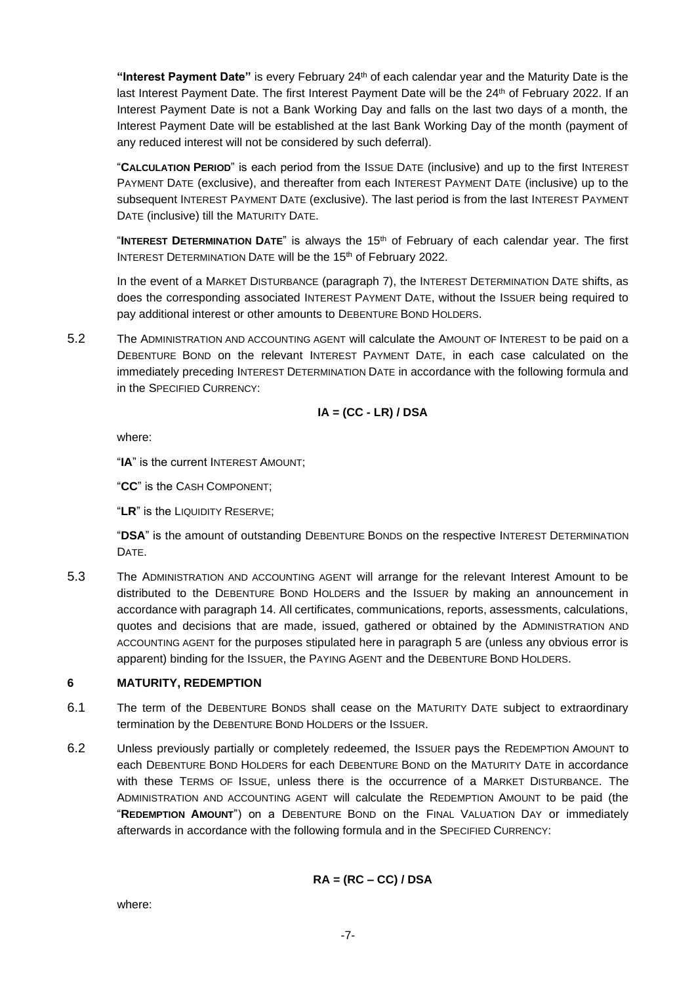**"Interest Payment Date"** is every February 24th of each calendar year and the Maturity Date is the last Interest Payment Date. The first Interest Payment Date will be the 24th of February 2022. If an Interest Payment Date is not a Bank Working Day and falls on the last two days of a month, the Interest Payment Date will be established at the last Bank Working Day of the month (payment of any reduced interest will not be considered by such deferral).

"**CALCULATION PERIOD**" is each period from the ISSUE DATE (inclusive) and up to the first INTEREST PAYMENT DATE (exclusive), and thereafter from each INTEREST PAYMENT DATE (inclusive) up to the subsequent INTEREST PAYMENT DATE (exclusive). The last period is from the last INTEREST PAYMENT DATE (inclusive) till the MATURITY DATE.

"**INTEREST DETERMINATION DATE**" is always the 15th of February of each calendar year. The first INTEREST DETERMINATION DATE will be the 15<sup>th</sup> of February 2022.

In the event of a MARKET DISTURBANCE (paragraph [7\)](#page-7-0), the INTEREST DETERMINATION DATE shifts, as does the corresponding associated INTEREST PAYMENT DATE, without the ISSUER being required to pay additional interest or other amounts to DEBENTURE BOND HOLDERS.

5.2 The ADMINISTRATION AND ACCOUNTING AGENT will calculate the AMOUNT OF INTEREST to be paid on a DEBENTURE BOND on the relevant INTEREST PAYMENT DATE, in each case calculated on the immediately preceding INTEREST DETERMINATION DATE in accordance with the following formula and in the SPECIFIED CURRENCY:

$$
IA = (CC - LR) / DSA
$$

where:

"**IA**" is the current INTEREST AMOUNT;

"**CC**" is the CASH COMPONENT;

"**LR**" is the LIQUIDITY RESERVE;

"**DSA**" is the amount of outstanding DEBENTURE BONDS on the respective INTEREST DETERMINATION DATE.

5.3 The ADMINISTRATION AND ACCOUNTING AGENT will arrange for the relevant Interest Amount to be distributed to the DEBENTURE BOND HOLDERS and the ISSUER by making an announcement in accordance with paragraph [14.](#page-11-0) All certificates, communications, reports, assessments, calculations, quotes and decisions that are made, issued, gathered or obtained by the ADMINISTRATION AND ACCOUNTING AGENT for the purposes stipulated here in paragraph [5](#page-5-0) are (unless any obvious error is apparent) binding for the ISSUER, the PAYING AGENT and the DEBENTURE BOND HOLDERS.

# <span id="page-6-0"></span>**6 MATURITY, REDEMPTION**

- 6.1 The term of the DEBENTURE BONDS shall cease on the MATURITY DATE subject to extraordinary termination by the DEBENTURE BOND HOLDERS or the ISSUER.
- 6.2 Unless previously partially or completely redeemed, the ISSUER pays the REDEMPTION AMOUNT to each DEBENTURE BOND HOLDERS for each DEBENTURE BOND on the MATURITY DATE in accordance with these TERMS OF ISSUE, unless there is the occurrence of a MARKET DISTURBANCE. The ADMINISTRATION AND ACCOUNTING AGENT will calculate the REDEMPTION AMOUNT to be paid (the "**REDEMPTION AMOUNT**") on a DEBENTURE BOND on the FINAL VALUATION DAY or immediately afterwards in accordance with the following formula and in the SPECIFIED CURRENCY:

$$
RA = (RC - CC) / DSA
$$

where: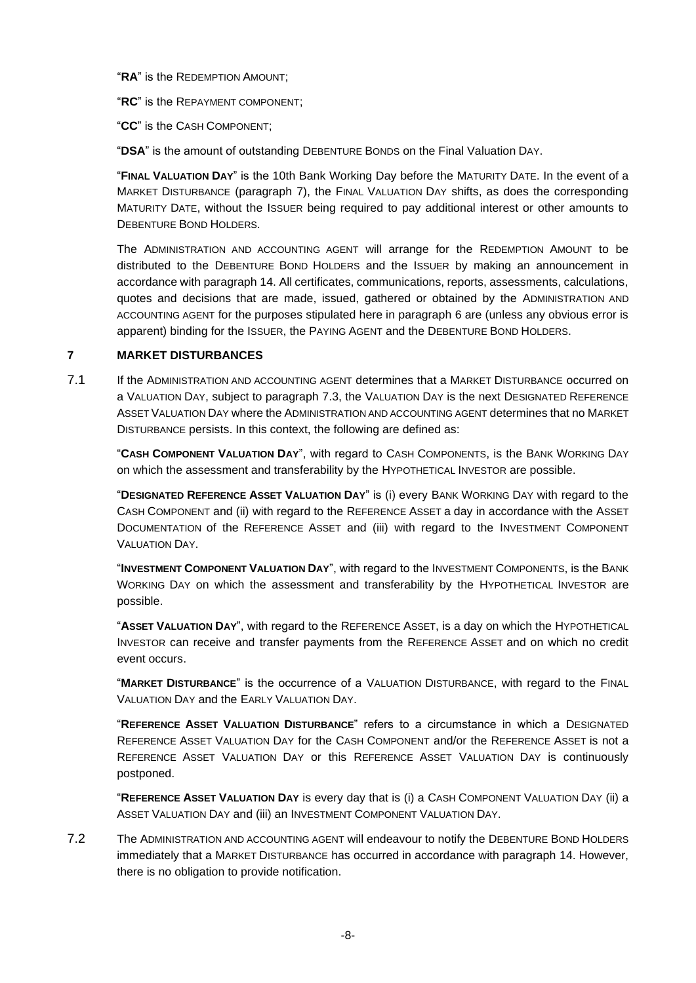"**RA**" is the REDEMPTION AMOUNT;

"**RC**" is the REPAYMENT COMPONENT;

"**CC**" is the CASH COMPONENT;

"**DSA**" is the amount of outstanding DEBENTURE BONDS on the Final Valuation DAY.

"**FINAL VALUATION DAY**" is the 10th Bank Working Day before the MATURITY DATE. In the event of a MARKET DISTURBANCE (paragraph [7\)](#page-7-0), the FINAL VALUATION DAY shifts, as does the corresponding MATURITY DATE, without the ISSUER being required to pay additional interest or other amounts to DEBENTURE BOND HOLDERS.

The ADMINISTRATION AND ACCOUNTING AGENT will arrange for the REDEMPTION AMOUNT to be distributed to the DEBENTURE BOND HOLDERS and the ISSUER by making an announcement in accordance with paragraph [14.](#page-11-0) All certificates, communications, reports, assessments, calculations, quotes and decisions that are made, issued, gathered or obtained by the ADMINISTRATION AND ACCOUNTING AGENT for the purposes stipulated here in paragraph [6](#page-6-0) are (unless any obvious error is apparent) binding for the ISSUER, the PAYING AGENT and the DEBENTURE BOND HOLDERS.

# <span id="page-7-0"></span>**7 MARKET DISTURBANCES**

7.1 If the ADMINISTRATION AND ACCOUNTING AGENT determines that a MARKET DISTURBANCE occurred on a VALUATION DAY, subject to paragraph [7.3,](#page-8-0) the VALUATION DAY is the next DESIGNATED REFERENCE ASSET VALUATION DAY where the ADMINISTRATION AND ACCOUNTING AGENT determines that no MARKET DISTURBANCE persists. In this context, the following are defined as:

"**CASH COMPONENT VALUATION DAY**", with regard to CASH COMPONENTS, is the BANK WORKING DAY on which the assessment and transferability by the HYPOTHETICAL INVESTOR are possible.

"**DESIGNATED REFERENCE ASSET VALUATION DAY**" is (i) every BANK WORKING DAY with regard to the CASH COMPONENT and (ii) with regard to the REFERENCE ASSET a day in accordance with the ASSET DOCUMENTATION of the REFERENCE ASSET and (iii) with regard to the INVESTMENT COMPONENT VALUATION DAY.

"**INVESTMENT COMPONENT VALUATION DAY**", with regard to the INVESTMENT COMPONENTS, is the BANK WORKING DAY on which the assessment and transferability by the HYPOTHETICAL INVESTOR are possible.

"**ASSET VALUATION DAY**", with regard to the REFERENCE ASSET, is a day on which the HYPOTHETICAL INVESTOR can receive and transfer payments from the REFERENCE ASSET and on which no credit event occurs.

"**MARKET DISTURBANCE**" is the occurrence of a VALUATION DISTURBANCE, with regard to the FINAL VALUATION DAY and the EARLY VALUATION DAY.

"**REFERENCE ASSET VALUATION DISTURBANCE**" refers to a circumstance in which a DESIGNATED REFERENCE ASSET VALUATION DAY for the CASH COMPONENT and/or the REFERENCE ASSET is not a REFERENCE ASSET VALUATION DAY or this REFERENCE ASSET VALUATION DAY is continuously postponed.

"**REFERENCE ASSET VALUATION DAY** is every day that is (i) a CASH COMPONENT VALUATION DAY (ii) a ASSET VALUATION DAY and (iii) an INVESTMENT COMPONENT VALUATION DAY.

7.2 The ADMINISTRATION AND ACCOUNTING AGENT will endeavour to notify the DEBENTURE BOND HOLDERS immediately that a MARKET DISTURBANCE has occurred in accordance with paragraph [14.](#page-11-0) However, there is no obligation to provide notification.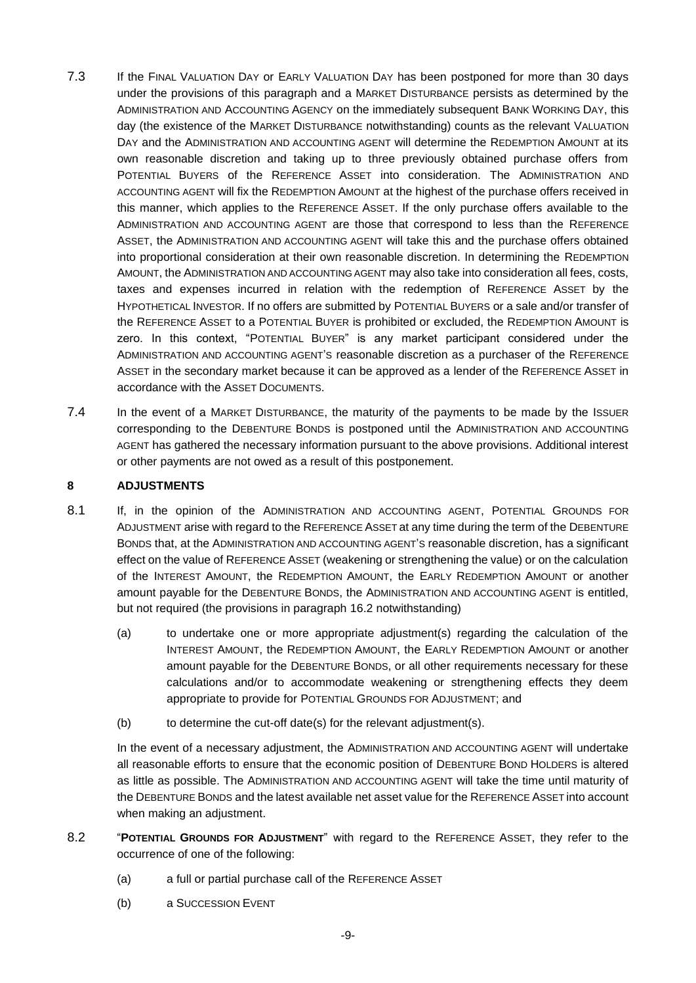- <span id="page-8-0"></span>7.3 If the FINAL VALUATION DAY or EARLY VALUATION DAY has been postponed for more than 30 days under the provisions of this paragraph and a MARKET DISTURBANCE persists as determined by the ADMINISTRATION AND ACCOUNTING AGENCY on the immediately subsequent BANK WORKING DAY, this day (the existence of the MARKET DISTURBANCE notwithstanding) counts as the relevant VALUATION DAY and the ADMINISTRATION AND ACCOUNTING AGENT will determine the REDEMPTION AMOUNT at its own reasonable discretion and taking up to three previously obtained purchase offers from POTENTIAL BUYERS of the REFERENCE ASSET into consideration. The ADMINISTRATION AND ACCOUNTING AGENT will fix the REDEMPTION AMOUNT at the highest of the purchase offers received in this manner, which applies to the REFERENCE ASSET. If the only purchase offers available to the ADMINISTRATION AND ACCOUNTING AGENT are those that correspond to less than the REFERENCE ASSET, the ADMINISTRATION AND ACCOUNTING AGENT will take this and the purchase offers obtained into proportional consideration at their own reasonable discretion. In determining the REDEMPTION AMOUNT, the ADMINISTRATION AND ACCOUNTING AGENT may also take into consideration all fees, costs, taxes and expenses incurred in relation with the redemption of REFERENCE ASSET by the HYPOTHETICAL INVESTOR. If no offers are submitted by POTENTIAL BUYERS or a sale and/or transfer of the REFERENCE ASSET to a POTENTIAL BUYER is prohibited or excluded, the REDEMPTION AMOUNT is zero. In this context, "POTENTIAL BUYER" is any market participant considered under the ADMINISTRATION AND ACCOUNTING AGENT'S reasonable discretion as a purchaser of the REFERENCE ASSET in the secondary market because it can be approved as a lender of the REFERENCE ASSET in accordance with the ASSET DOCUMENTS.
- 7.4 In the event of a MARKET DISTURBANCE, the maturity of the payments to be made by the ISSUER corresponding to the DEBENTURE BONDS is postponed until the ADMINISTRATION AND ACCOUNTING AGENT has gathered the necessary information pursuant to the above provisions. Additional interest or other payments are not owed as a result of this postponement.

## **8 ADJUSTMENTS**

- 8.1 If, in the opinion of the ADMINISTRATION AND ACCOUNTING AGENT, POTENTIAL GROUNDS FOR ADJUSTMENT arise with regard to the REFERENCE ASSET at any time during the term of the DEBENTURE BONDS that, at the ADMINISTRATION AND ACCOUNTING AGENT'S reasonable discretion, has a significant effect on the value of REFERENCE ASSET (weakening or strengthening the value) or on the calculation of the INTEREST AMOUNT, the REDEMPTION AMOUNT, the EARLY REDEMPTION AMOUNT or another amount payable for the DEBENTURE BONDS, the ADMINISTRATION AND ACCOUNTING AGENT is entitled, but not required (the provisions in paragraph 16.2 notwithstanding)
	- (a) to undertake one or more appropriate adjustment(s) regarding the calculation of the INTEREST AMOUNT, the REDEMPTION AMOUNT, the EARLY REDEMPTION AMOUNT or another amount payable for the DEBENTURE BONDS, or all other requirements necessary for these calculations and/or to accommodate weakening or strengthening effects they deem appropriate to provide for POTENTIAL GROUNDS FOR ADJUSTMENT; and
	- (b) to determine the cut-off date(s) for the relevant adjustment(s).

In the event of a necessary adjustment, the ADMINISTRATION AND ACCOUNTING AGENT will undertake all reasonable efforts to ensure that the economic position of DEBENTURE BOND HOLDERS is altered as little as possible. The ADMINISTRATION AND ACCOUNTING AGENT will take the time until maturity of the DEBENTURE BONDS and the latest available net asset value for the REFERENCE ASSET into account when making an adjustment.

- 8.2 "**POTENTIAL GROUNDS FOR ADJUSTMENT**" with regard to the REFERENCE ASSET, they refer to the occurrence of one of the following:
	- (a) a full or partial purchase call of the REFERENCE ASSET
	- (b) a SUCCESSION EVENT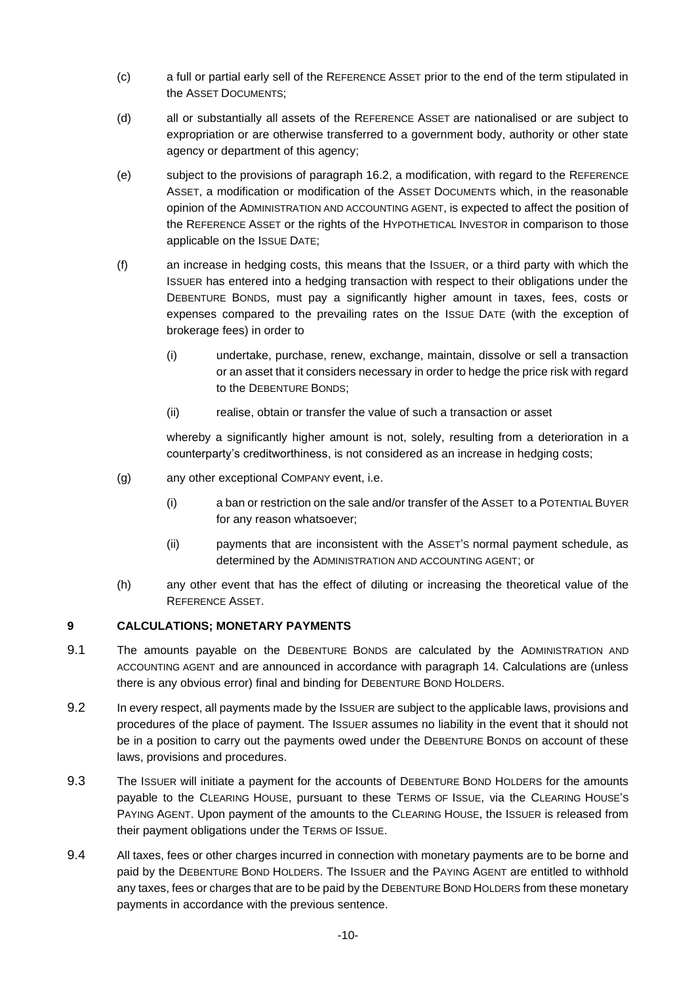- (c) a full or partial early sell of the REFERENCE ASSET prior to the end of the term stipulated in the ASSET DOCUMENTS;
- (d) all or substantially all assets of the REFERENCE ASSET are nationalised or are subject to expropriation or are otherwise transferred to a government body, authority or other state agency or department of this agency;
- (e) subject to the provisions of paragraph 16.2, a modification, with regard to the REFERENCE ASSET, a modification or modification of the ASSET DOCUMENTS which, in the reasonable opinion of the ADMINISTRATION AND ACCOUNTING AGENT, is expected to affect the position of the REFERENCE ASSET or the rights of the HYPOTHETICAL INVESTOR in comparison to those applicable on the ISSUE DATE;
- (f) an increase in hedging costs, this means that the ISSUER, or a third party with which the ISSUER has entered into a hedging transaction with respect to their obligations under the DEBENTURE BONDS, must pay a significantly higher amount in taxes, fees, costs or expenses compared to the prevailing rates on the ISSUE DATE (with the exception of brokerage fees) in order to
	- (i) undertake, purchase, renew, exchange, maintain, dissolve or sell a transaction or an asset that it considers necessary in order to hedge the price risk with regard to the DEBENTURE BONDS;
	- (ii) realise, obtain or transfer the value of such a transaction or asset

whereby a significantly higher amount is not, solely, resulting from a deterioration in a counterparty's creditworthiness, is not considered as an increase in hedging costs;

- (g) any other exceptional COMPANY event, i.e.
	- (i) a ban or restriction on the sale and/or transfer of the ASSET to a POTENTIAL BUYER for any reason whatsoever;
	- (ii) payments that are inconsistent with the ASSET'S normal payment schedule, as determined by the ADMINISTRATION AND ACCOUNTING AGENT; or
- (h) any other event that has the effect of diluting or increasing the theoretical value of the REFERENCE ASSET.

# **9 CALCULATIONS; MONETARY PAYMENTS**

- 9.1 The amounts payable on the DEBENTURE BONDS are calculated by the ADMINISTRATION AND ACCOUNTING AGENT and are announced in accordance with paragraph [14.](#page-11-0) Calculations are (unless there is any obvious error) final and binding for DEBENTURE BOND HOLDERS.
- 9.2 In every respect, all payments made by the ISSUER are subject to the applicable laws, provisions and procedures of the place of payment. The ISSUER assumes no liability in the event that it should not be in a position to carry out the payments owed under the DEBENTURE BONDS on account of these laws, provisions and procedures.
- 9.3 The ISSUER will initiate a payment for the accounts of DEBENTURE BOND HOLDERS for the amounts payable to the CLEARING HOUSE, pursuant to these TERMS OF ISSUE, via the CLEARING HOUSE'S PAYING AGENT. Upon payment of the amounts to the CLEARING HOUSE, the ISSUER is released from their payment obligations under the TERMS OF ISSUE.
- 9.4 All taxes, fees or other charges incurred in connection with monetary payments are to be borne and paid by the DEBENTURE BOND HOLDERS. The ISSUER and the PAYING AGENT are entitled to withhold any taxes, fees or charges that are to be paid by the DEBENTURE BOND HOLDERS from these monetary payments in accordance with the previous sentence.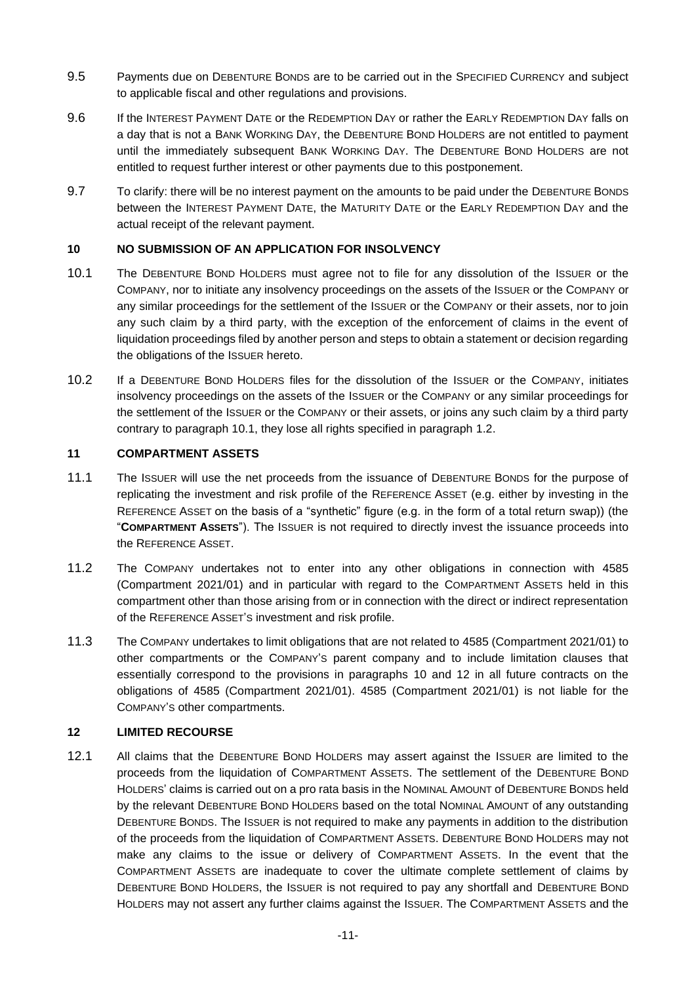- 9.5 Payments due on DEBENTURE BONDS are to be carried out in the SPECIFIED CURRENCY and subject to applicable fiscal and other regulations and provisions.
- 9.6 If the INTEREST PAYMENT DATE or the REDEMPTION DAY or rather the EARLY REDEMPTION DAY falls on a day that is not a BANK WORKING DAY, the DEBENTURE BOND HOLDERS are not entitled to payment until the immediately subsequent BANK WORKING DAY. The DEBENTURE BOND HOLDERS are not entitled to request further interest or other payments due to this postponement.
- 9.7 To clarify: there will be no interest payment on the amounts to be paid under the DEBENTURE BONDS between the INTEREST PAYMENT DATE, the MATURITY DATE or the EARLY REDEMPTION DAY and the actual receipt of the relevant payment.

## <span id="page-10-1"></span>**10 NO SUBMISSION OF AN APPLICATION FOR INSOLVENCY**

- <span id="page-10-0"></span>10.1 The DEBENTURE BOND HOLDERS must agree not to file for any dissolution of the ISSUER or the COMPANY, nor to initiate any insolvency proceedings on the assets of the ISSUER or the COMPANY or any similar proceedings for the settlement of the ISSUER or the COMPANY or their assets, nor to join any such claim by a third party, with the exception of the enforcement of claims in the event of liquidation proceedings filed by another person and steps to obtain a statement or decision regarding the obligations of the ISSUER hereto.
- 10.2 If a DEBENTURE BOND HOLDERS files for the dissolution of the ISSUER or the COMPANY, initiates insolvency proceedings on the assets of the ISSUER or the COMPANY or any similar proceedings for the settlement of the ISSUER or the COMPANY or their assets, or joins any such claim by a third party contrary to paragraph [10.1,](#page-10-0) they lose all rights specified in paragraph [1.2.](#page-1-0)

# **11 COMPARTMENT ASSETS**

- 11.1 The ISSUER will use the net proceeds from the issuance of DEBENTURE BONDS for the purpose of replicating the investment and risk profile of the REFERENCE ASSET (e.g. either by investing in the REFERENCE ASSET on the basis of a "synthetic" figure (e.g. in the form of a total return swap)) (the "**COMPARTMENT ASSETS**"). The ISSUER is not required to directly invest the issuance proceeds into the REFERENCE ASSET.
- 11.2 The COMPANY undertakes not to enter into any other obligations in connection with 4585 (Compartment 2021/01) and in particular with regard to the COMPARTMENT ASSETS held in this compartment other than those arising from or in connection with the direct or indirect representation of the REFERENCE ASSET'S investment and risk profile.
- 11.3 The COMPANY undertakes to limit obligations that are not related to 4585 (Compartment 2021/01) to other compartments or the COMPANY'S parent company and to include limitation clauses that essentially correspond to the provisions in paragraphs [10](#page-10-1) and [12](#page-10-2) in all future contracts on the obligations of 4585 (Compartment 2021/01). 4585 (Compartment 2021/01) is not liable for the COMPANY'S other compartments.

#### <span id="page-10-2"></span>**12 LIMITED RECOURSE**

12.1 All claims that the DEBENTURE BOND HOLDERS may assert against the ISSUER are limited to the proceeds from the liquidation of COMPARTMENT ASSETS. The settlement of the DEBENTURE BOND HOLDERS' claims is carried out on a pro rata basis in the NOMINAL AMOUNT of DEBENTURE BONDS held by the relevant DEBENTURE BOND HOLDERS based on the total NOMINAL AMOUNT of any outstanding DEBENTURE BONDS. The ISSUER is not required to make any payments in addition to the distribution of the proceeds from the liquidation of COMPARTMENT ASSETS. DEBENTURE BOND HOLDERS may not make any claims to the issue or delivery of COMPARTMENT ASSETS. In the event that the COMPARTMENT ASSETS are inadequate to cover the ultimate complete settlement of claims by DEBENTURE BOND HOLDERS, the ISSUER is not required to pay any shortfall and DEBENTURE BOND HOLDERS may not assert any further claims against the ISSUER. The COMPARTMENT ASSETS and the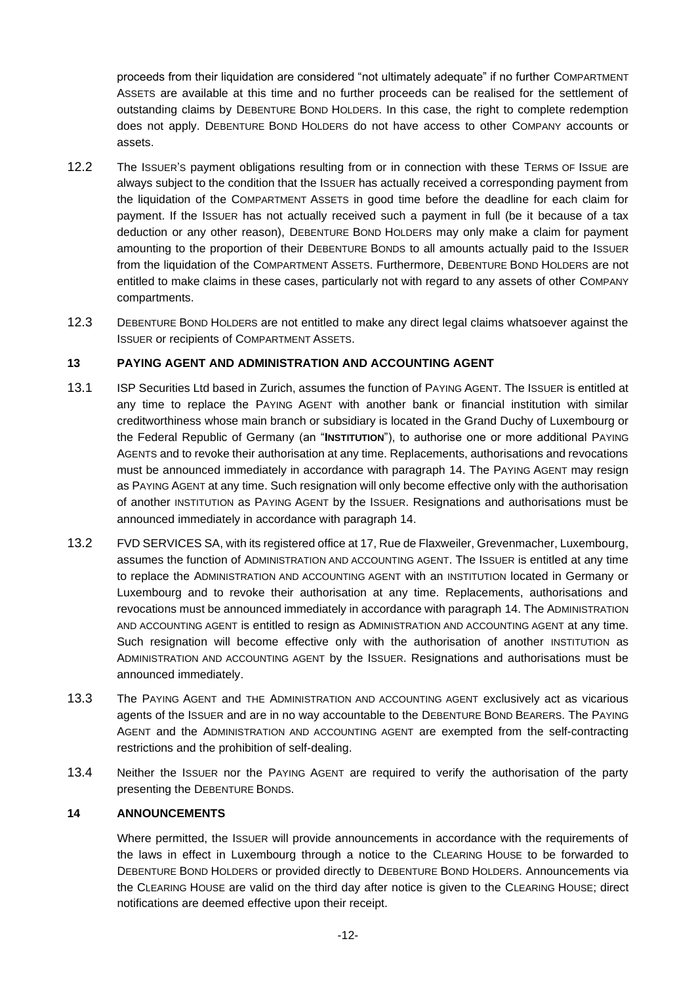proceeds from their liquidation are considered "not ultimately adequate" if no further COMPARTMENT ASSETS are available at this time and no further proceeds can be realised for the settlement of outstanding claims by DEBENTURE BOND HOLDERS. In this case, the right to complete redemption does not apply. DEBENTURE BOND HOLDERS do not have access to other COMPANY accounts or assets.

- 12.2 The ISSUER'S payment obligations resulting from or in connection with these TERMS OF ISSUE are always subject to the condition that the ISSUER has actually received a corresponding payment from the liquidation of the COMPARTMENT ASSETS in good time before the deadline for each claim for payment. If the ISSUER has not actually received such a payment in full (be it because of a tax deduction or any other reason), DEBENTURE BOND HOLDERS may only make a claim for payment amounting to the proportion of their DEBENTURE BONDS to all amounts actually paid to the ISSUER from the liquidation of the COMPARTMENT ASSETS. Furthermore, DEBENTURE BOND HOLDERS are not entitled to make claims in these cases, particularly not with regard to any assets of other COMPANY compartments.
- 12.3 DEBENTURE BOND HOLDERS are not entitled to make any direct legal claims whatsoever against the ISSUER or recipients of COMPARTMENT ASSETS.

## **13 PAYING AGENT AND ADMINISTRATION AND ACCOUNTING AGENT**

- 13.1 ISP Securities Ltd based in Zurich, assumes the function of PAYING AGENT. The ISSUER is entitled at any time to replace the PAYING AGENT with another bank or financial institution with similar creditworthiness whose main branch or subsidiary is located in the Grand Duchy of Luxembourg or the Federal Republic of Germany (an "**INSTITUTION**"), to authorise one or more additional PAYING AGENTS and to revoke their authorisation at any time. Replacements, authorisations and revocations must be announced immediately in accordance with paragraph [14.](#page-11-0) The PAYING AGENT may resign as PAYING AGENT at any time. Such resignation will only become effective only with the authorisation of another INSTITUTION as PAYING AGENT by the ISSUER. Resignations and authorisations must be announced immediately in accordance with paragraph [14.](#page-11-0)
- 13.2 FVD SERVICES SA, with its registered office at 17, Rue de Flaxweiler, Grevenmacher, Luxembourg, assumes the function of ADMINISTRATION AND ACCOUNTING AGENT. The ISSUER is entitled at any time to replace the ADMINISTRATION AND ACCOUNTING AGENT with an INSTITUTION located in Germany or Luxembourg and to revoke their authorisation at any time. Replacements, authorisations and revocations must be announced immediately in accordance with paragraph [14.](#page-11-0) The ADMINISTRATION AND ACCOUNTING AGENT is entitled to resign as ADMINISTRATION AND ACCOUNTING AGENT at any time. Such resignation will become effective only with the authorisation of another INSTITUTION as ADMINISTRATION AND ACCOUNTING AGENT by the ISSUER. Resignations and authorisations must be announced immediately.
- 13.3 The PAYING AGENT and THE ADMINISTRATION AND ACCOUNTING AGENT exclusively act as vicarious agents of the ISSUER and are in no way accountable to the DEBENTURE BOND BEARERS. The PAYING AGENT and the ADMINISTRATION AND ACCOUNTING AGENT are exempted from the self-contracting restrictions and the prohibition of self-dealing.
- 13.4 Neither the ISSUER nor the PAYING AGENT are required to verify the authorisation of the party presenting the DEBENTURE BONDS.

#### <span id="page-11-0"></span>**14 ANNOUNCEMENTS**

Where permitted, the ISSUER will provide announcements in accordance with the requirements of the laws in effect in Luxembourg through a notice to the CLEARING HOUSE to be forwarded to DEBENTURE BOND HOLDERS or provided directly to DEBENTURE BOND HOLDERS. Announcements via the CLEARING HOUSE are valid on the third day after notice is given to the CLEARING HOUSE; direct notifications are deemed effective upon their receipt.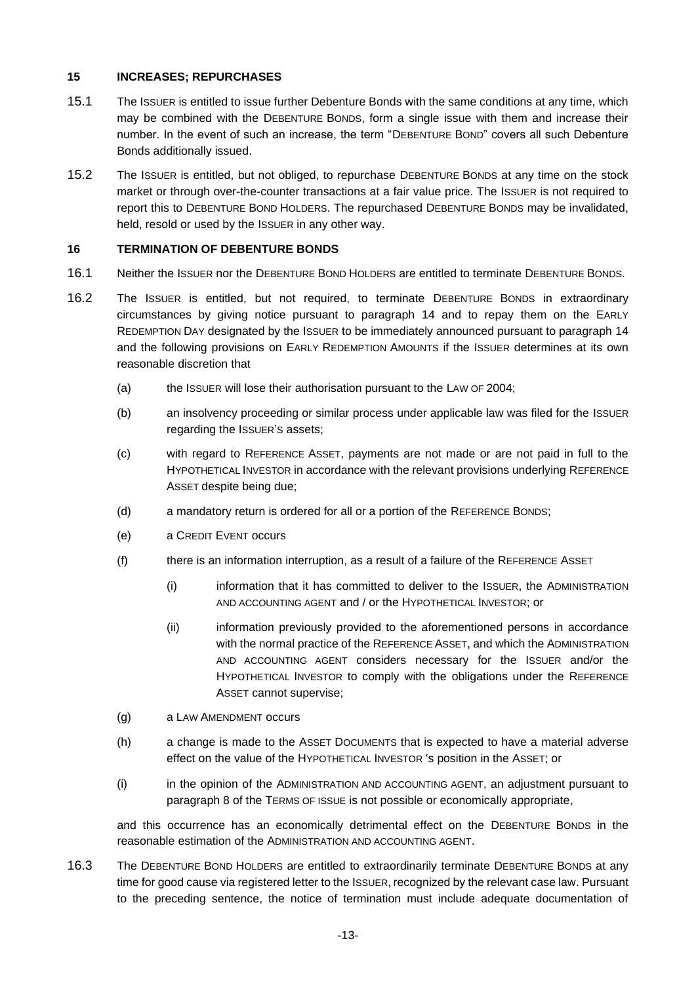## **15 INCREASES; REPURCHASES**

- 15.1 The ISSUER is entitled to issue further Debenture Bonds with the same conditions at any time, which may be combined with the DEBENTURE BONDS, form a single issue with them and increase their number. In the event of such an increase, the term "DEBENTURE BOND" covers all such Debenture Bonds additionally issued.
- 15.2 The ISSUER is entitled, but not obliged, to repurchase DEBENTURE BONDS at any time on the stock market or through over-the-counter transactions at a fair value price. The ISSUER is not required to report this to DEBENTURE BOND HOLDERS. The repurchased DEBENTURE BONDS may be invalidated, held, resold or used by the ISSUER in any other way.

## <span id="page-12-0"></span>**16 TERMINATION OF DEBENTURE BONDS**

- 16.1 Neither the ISSUER nor the DEBENTURE BOND HOLDERS are entitled to terminate DEBENTURE BONDS.
- 16.2 The ISSUER is entitled, but not required, to terminate DEBENTURE BONDS in extraordinary circumstances by giving notice pursuant to paragraph [14](#page-11-0) and to repay them on the EARLY REDEMPTION DAY designated by the ISSUER to be immediately announced pursuant to paragraph [14](#page-11-0) and the following provisions on EARLY REDEMPTION AMOUNTS if the ISSUER determines at its own reasonable discretion that
	- (a) the ISSUER will lose their authorisation pursuant to the LAW OF 2004;
	- (b) an insolvency proceeding or similar process under applicable law was filed for the ISSUER regarding the ISSUER'S assets;
	- (c) with regard to REFERENCE ASSET, payments are not made or are not paid in full to the HYPOTHETICAL INVESTOR in accordance with the relevant provisions underlying REFERENCE ASSET despite being due;
	- (d) a mandatory return is ordered for all or a portion of the REFERENCE BONDS;
	- (e) a CREDIT EVENT occurs
	- (f) there is an information interruption, as a result of a failure of the REFERENCE ASSET
		- (i) information that it has committed to deliver to the ISSUER, the ADMINISTRATION AND ACCOUNTING AGENT and / or the HYPOTHETICAL INVESTOR; or
		- (ii) information previously provided to the aforementioned persons in accordance with the normal practice of the REFERENCE ASSET, and which the ADMINISTRATION AND ACCOUNTING AGENT considers necessary for the ISSUER and/or the HYPOTHETICAL INVESTOR to comply with the obligations under the REFERENCE ASSET cannot supervise;
	- (g) a LAW AMENDMENT occurs
	- (h) a change is made to the ASSET DOCUMENTS that is expected to have a material adverse effect on the value of the HYPOTHETICAL INVESTOR 's position in the ASSET; or
	- (i) in the opinion of the ADMINISTRATION AND ACCOUNTING AGENT, an adjustment pursuant to paragraph 8 of the TERMS OF ISSUE is not possible or economically appropriate,

and this occurrence has an economically detrimental effect on the DEBENTURE BONDS in the reasonable estimation of the ADMINISTRATION AND ACCOUNTING AGENT.

<span id="page-12-1"></span>16.3 The DEBENTURE BOND HOLDERS are entitled to extraordinarily terminate DEBENTURE BONDS at any time for good cause via registered letter to the ISSUER, recognized by the relevant case law. Pursuant to the preceding sentence, the notice of termination must include adequate documentation of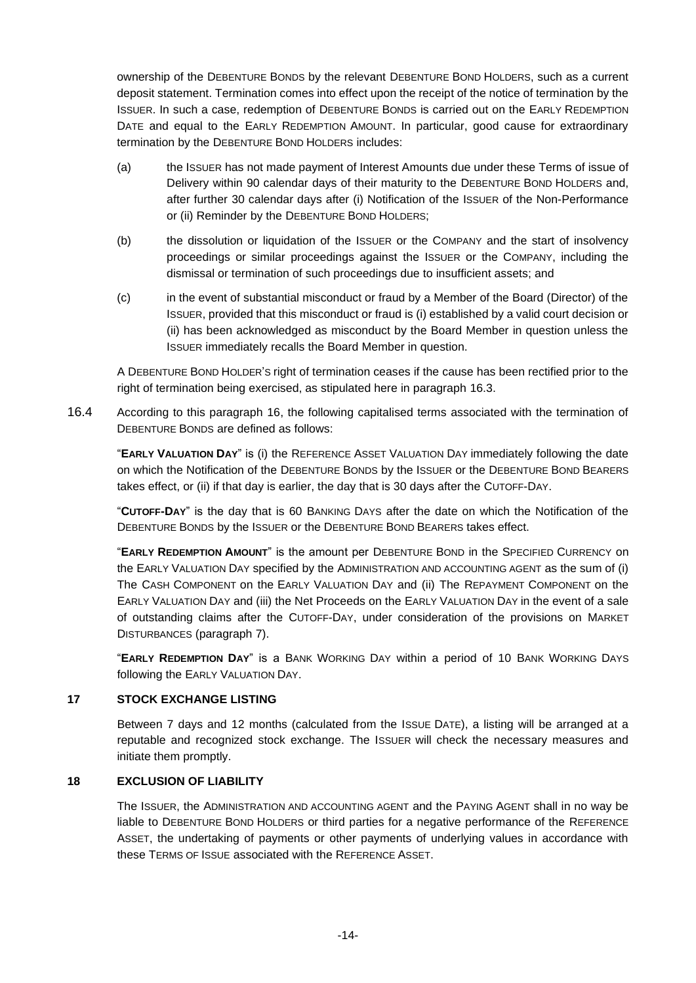ownership of the DEBENTURE BONDS by the relevant DEBENTURE BOND HOLDERS, such as a current deposit statement. Termination comes into effect upon the receipt of the notice of termination by the ISSUER. In such a case, redemption of DEBENTURE BONDS is carried out on the EARLY REDEMPTION DATE and equal to the EARLY REDEMPTION AMOUNT. In particular, good cause for extraordinary termination by the DEBENTURE BOND HOLDERS includes:

- (a) the ISSUER has not made payment of Interest Amounts due under these Terms of issue of Delivery within 90 calendar days of their maturity to the DEBENTURE BOND HOLDERS and, after further 30 calendar days after (i) Notification of the ISSUER of the Non-Performance or (ii) Reminder by the DEBENTURE BOND HOLDERS;
- (b) the dissolution or liquidation of the ISSUER or the COMPANY and the start of insolvency proceedings or similar proceedings against the ISSUER or the COMPANY, including the dismissal or termination of such proceedings due to insufficient assets; and
- (c) in the event of substantial misconduct or fraud by a Member of the Board (Director) of the ISSUER, provided that this misconduct or fraud is (i) established by a valid court decision or (ii) has been acknowledged as misconduct by the Board Member in question unless the ISSUER immediately recalls the Board Member in question.

A DEBENTURE BOND HOLDER'S right of termination ceases if the cause has been rectified prior to the right of termination being exercised, as stipulated here in paragraph [16.3.](#page-12-1)

16.4 According to this paragraph [16,](#page-12-0) the following capitalised terms associated with the termination of DEBENTURE BONDS are defined as follows:

"**EARLY VALUATION DAY**" is (i) the REFERENCE ASSET VALUATION DAY immediately following the date on which the Notification of the DEBENTURE BONDS by the ISSUER or the DEBENTURE BOND BEARERS takes effect, or (ii) if that day is earlier, the day that is 30 days after the CUTOFF-DAY.

"**CUTOFF-DAY**" is the day that is 60 BANKING DAYS after the date on which the Notification of the DEBENTURE BONDS by the ISSUER or the DEBENTURE BOND BEARERS takes effect.

"**EARLY REDEMPTION AMOUNT**" is the amount per DEBENTURE BOND in the SPECIFIED CURRENCY on the EARLY VALUATION DAY specified by the ADMINISTRATION AND ACCOUNTING AGENT as the sum of (i) The CASH COMPONENT on the EARLY VALUATION DAY and (ii) The REPAYMENT COMPONENT on the EARLY VALUATION DAY and (iii) the Net Proceeds on the EARLY VALUATION DAY in the event of a sale of outstanding claims after the CUTOFF-DAY, under consideration of the provisions on MARKET DISTURBANCES (paragraph [7\)](#page-7-0).

"**EARLY REDEMPTION DAY**" is a BANK WORKING DAY within a period of 10 BANK WORKING DAYS following the EARLY VALUATION DAY.

#### **17 STOCK EXCHANGE LISTING**

Between 7 days and 12 months (calculated from the ISSUE DATE), a listing will be arranged at a reputable and recognized stock exchange. The ISSUER will check the necessary measures and initiate them promptly.

#### **18 EXCLUSION OF LIABILITY**

The ISSUER, the ADMINISTRATION AND ACCOUNTING AGENT and the PAYING AGENT shall in no way be liable to DEBENTURE BOND HOLDERS or third parties for a negative performance of the REFERENCE ASSET, the undertaking of payments or other payments of underlying values in accordance with these TERMS OF ISSUE associated with the REFERENCE ASSET.